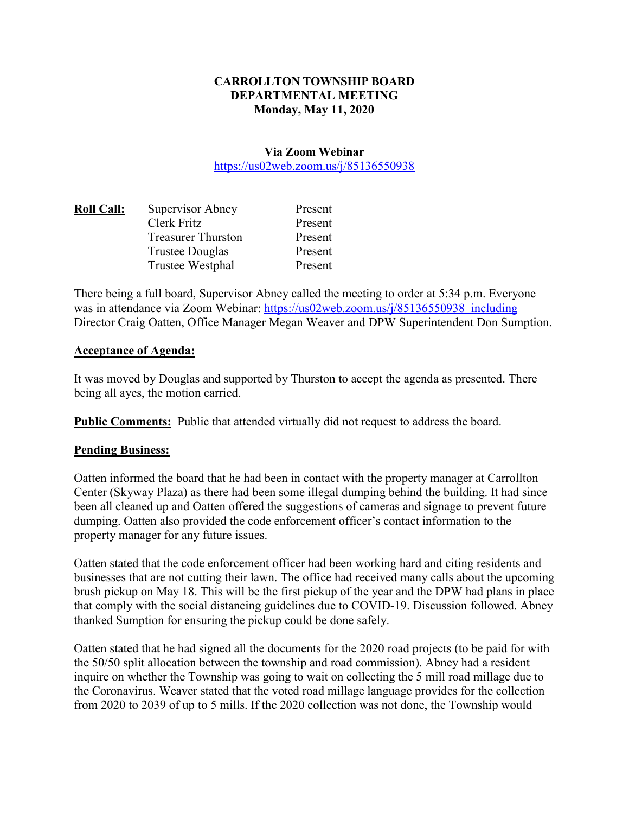# **CARROLLTON TOWNSHIP BOARD DEPARTMENTAL MEETING Monday, May 11, 2020**

# **Via Zoom Webinar**  https://us02web.zoom.us/j/85136550938

| <b>Roll Call:</b> | Supervisor Abney          | Present |
|-------------------|---------------------------|---------|
|                   | Clerk Fritz               | Present |
|                   | <b>Treasurer Thurston</b> | Present |
|                   | Trustee Douglas           | Present |
|                   | Trustee Westphal          | Present |

There being a full board, Supervisor Abney called the meeting to order at 5:34 p.m. Everyone was in attendance via Zoom Webinar: https://us02web.zoom.us/j/85136550938 including Director Craig Oatten, Office Manager Megan Weaver and DPW Superintendent Don Sumption.

### **Acceptance of Agenda:**

It was moved by Douglas and supported by Thurston to accept the agenda as presented. There being all ayes, the motion carried.

**Public Comments:** Public that attended virtually did not request to address the board.

# **Pending Business:**

Oatten informed the board that he had been in contact with the property manager at Carrollton Center (Skyway Plaza) as there had been some illegal dumping behind the building. It had since been all cleaned up and Oatten offered the suggestions of cameras and signage to prevent future dumping. Oatten also provided the code enforcement officer's contact information to the property manager for any future issues.

Oatten stated that the code enforcement officer had been working hard and citing residents and businesses that are not cutting their lawn. The office had received many calls about the upcoming brush pickup on May 18. This will be the first pickup of the year and the DPW had plans in place that comply with the social distancing guidelines due to COVID-19. Discussion followed. Abney thanked Sumption for ensuring the pickup could be done safely.

Oatten stated that he had signed all the documents for the 2020 road projects (to be paid for with the 50/50 split allocation between the township and road commission). Abney had a resident inquire on whether the Township was going to wait on collecting the 5 mill road millage due to the Coronavirus. Weaver stated that the voted road millage language provides for the collection from 2020 to 2039 of up to 5 mills. If the 2020 collection was not done, the Township would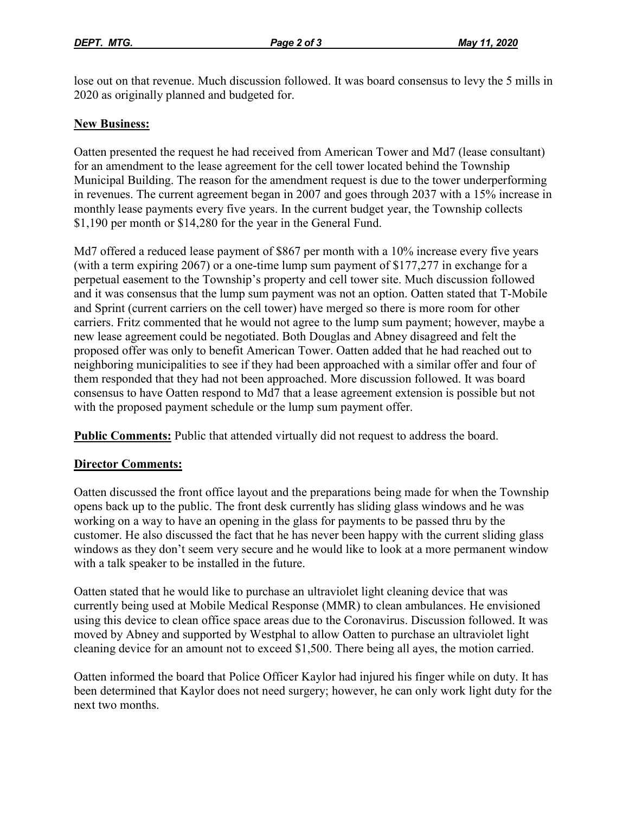lose out on that revenue. Much discussion followed. It was board consensus to levy the 5 mills in 2020 as originally planned and budgeted for.

## **New Business:**

Oatten presented the request he had received from American Tower and Md7 (lease consultant) for an amendment to the lease agreement for the cell tower located behind the Township Municipal Building. The reason for the amendment request is due to the tower underperforming in revenues. The current agreement began in 2007 and goes through 2037 with a 15% increase in monthly lease payments every five years. In the current budget year, the Township collects \$1,190 per month or \$14,280 for the year in the General Fund.

Md7 offered a reduced lease payment of \$867 per month with a 10% increase every five years (with a term expiring 2067) or a one-time lump sum payment of \$177,277 in exchange for a perpetual easement to the Township's property and cell tower site. Much discussion followed and it was consensus that the lump sum payment was not an option. Oatten stated that T-Mobile and Sprint (current carriers on the cell tower) have merged so there is more room for other carriers. Fritz commented that he would not agree to the lump sum payment; however, maybe a new lease agreement could be negotiated. Both Douglas and Abney disagreed and felt the proposed offer was only to benefit American Tower. Oatten added that he had reached out to neighboring municipalities to see if they had been approached with a similar offer and four of them responded that they had not been approached. More discussion followed. It was board consensus to have Oatten respond to Md7 that a lease agreement extension is possible but not with the proposed payment schedule or the lump sum payment offer.

**Public Comments:** Public that attended virtually did not request to address the board.

### **Director Comments:**

Oatten discussed the front office layout and the preparations being made for when the Township opens back up to the public. The front desk currently has sliding glass windows and he was working on a way to have an opening in the glass for payments to be passed thru by the customer. He also discussed the fact that he has never been happy with the current sliding glass windows as they don't seem very secure and he would like to look at a more permanent window with a talk speaker to be installed in the future.

Oatten stated that he would like to purchase an ultraviolet light cleaning device that was currently being used at Mobile Medical Response (MMR) to clean ambulances. He envisioned using this device to clean office space areas due to the Coronavirus. Discussion followed. It was moved by Abney and supported by Westphal to allow Oatten to purchase an ultraviolet light cleaning device for an amount not to exceed \$1,500. There being all ayes, the motion carried.

Oatten informed the board that Police Officer Kaylor had injured his finger while on duty. It has been determined that Kaylor does not need surgery; however, he can only work light duty for the next two months.